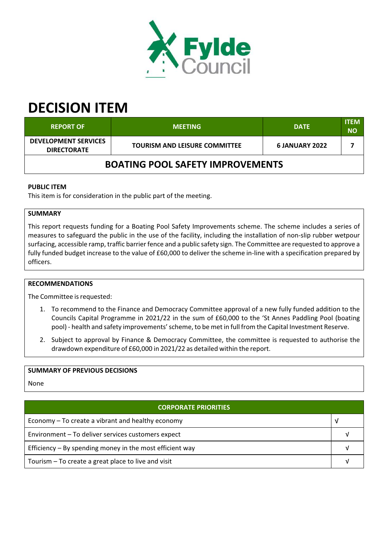

# **DECISION ITEM**

| <b>REPORT OF</b>                                  | <b>MEETING</b>                       | <b>DATE</b>           | <b>ITEM</b><br><b>NO</b> |  |  |  |
|---------------------------------------------------|--------------------------------------|-----------------------|--------------------------|--|--|--|
| <b>DEVELOPMENT SERVICES</b><br><b>DIRECTORATE</b> | <b>TOURISM AND LEISURE COMMITTEE</b> | <b>6 JANUARY 2022</b> |                          |  |  |  |
| <b>BOATING POOL SAFETY IMPROVEMENTS</b>           |                                      |                       |                          |  |  |  |

## **PUBLIC ITEM**

This item is for consideration in the public part of the meeting.

## **SUMMARY**

This report requests funding for a Boating Pool Safety Improvements scheme. The scheme includes a series of measures to safeguard the public in the use of the facility, including the installation of non‐slip rubber wetpour surfacing, accessible ramp, traffic barrier fence and a public safety sign. The Committee are requested to approve a fully funded budget increase to the value of £60,000 to deliver the scheme in-line with a specification prepared by officers.

### **RECOMMENDATIONS**

The Committee is requested:

- 1. To recommend to the Finance and Democracy Committee approval of a new fully funded addition to the Councils Capital Programme in 2021/22 in the sum of £60,000 to the 'St Annes Paddling Pool (boating pool) - health and safety improvements' scheme, to be met in full from the Capital Investment Reserve.
- 2. Subject to approval by Finance & Democracy Committee, the committee is requested to authorise the drawdown expenditure of £60,000 in 2021/22 as detailed within the report.

## **SUMMARY OF PREVIOUS DECISIONS**

None

## **CORPORATE PRIORITIES**

| Economy – To create a vibrant and healthy economy          |  |
|------------------------------------------------------------|--|
| Environment - To deliver services customers expect         |  |
| Efficiency $-$ By spending money in the most efficient way |  |
| Tourism – To create a great place to live and visit        |  |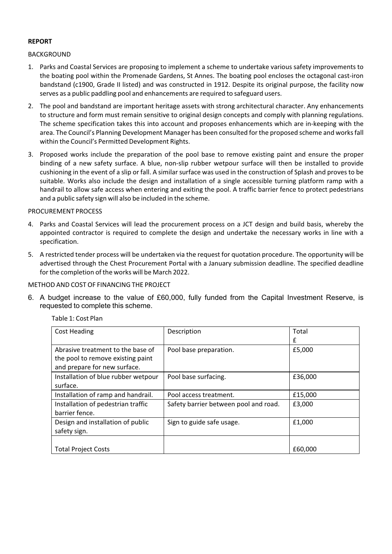## **REPORT**

### BACKGROUND

- 1. Parks and Coastal Services are proposing to implement a scheme to undertake various safety improvements to the boating pool within the Promenade Gardens, St Annes. The boating pool encloses the octagonal cast‐iron bandstand (c1900, Grade II listed) and was constructed in 1912. Despite its original purpose, the facility now serves as a public paddling pool and enhancements are required to safeguard users.
- 2. The pool and bandstand are important heritage assets with strong architectural character. Any enhancements to structure and form must remain sensitive to original design concepts and comply with planning regulations. The scheme specification takes this into account and proposes enhancements which are in‐keeping with the area. The Council's Planning Development Manager has been consulted for the proposed scheme and worksfall within the Council's Permitted Development Rights.
- 3. Proposed works include the preparation of the pool base to remove existing paint and ensure the proper binding of a new safety surface. A blue, non‐slip rubber wetpour surface will then be installed to provide cushioning in the event of a slip or fall. A similar surface was used in the construction of Splash and proves to be suitable. Works also include the design and installation of a single accessible turning platform ramp with a handrail to allow safe access when entering and exiting the pool. A traffic barrier fence to protect pedestrians and a public safety sign will also be included in the scheme.

### PROCUREMENT PROCESS

- 4. Parks and Coastal Services will lead the procurement process on a JCT design and build basis, whereby the appointed contractor is required to complete the design and undertake the necessary works in line with a specification.
- 5. A restricted tender process will be undertaken via the request for quotation procedure. The opportunity will be advertised through the Chest Procurement Portal with a January submission deadline. The specified deadline for the completion of the works will be March 2022.

### METHOD AND COST OF FINANCING THE PROJECT

6. A budget increase to the value of £60,000, fully funded from the Capital Investment Reserve, is requested to complete this scheme.

| <b>Cost Heading</b>                 | Description                           | Total   |
|-------------------------------------|---------------------------------------|---------|
|                                     |                                       | £       |
| Abrasive treatment to the base of   | Pool base preparation.                | £5,000  |
| the pool to remove existing paint   |                                       |         |
| and prepare for new surface.        |                                       |         |
| Installation of blue rubber wetpour | Pool base surfacing.                  | £36,000 |
| surface.                            |                                       |         |
| Installation of ramp and handrail.  | Pool access treatment.                | £15,000 |
| Installation of pedestrian traffic  | Safety barrier between pool and road. | £3,000  |
| barrier fence.                      |                                       |         |
| Design and installation of public   | Sign to guide safe usage.             | £1,000  |
| safety sign.                        |                                       |         |
|                                     |                                       |         |
| <b>Total Project Costs</b>          |                                       | £60,000 |

Table 1: Cost Plan